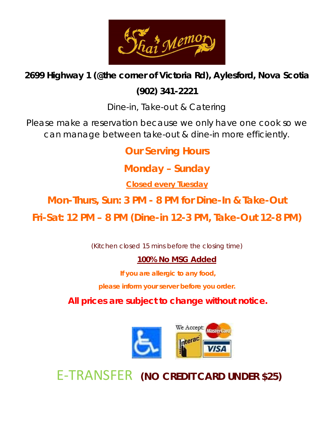

## **2699 Highway 1 (@the corner of Victoria Rd), Aylesford, Nova Scotia**

## **(902) 341-2221**

Dine-in, Take-out & Catering

Please make a reservation because we only have one cook so we can manage between take-out & dine-in more efficiently.

**Our Serving Hours**

**Monday – Sunday**

**Closed every Tuesday**

**Mon-Thurs, Sun: 3 PM - 8 PM for Dine-In & Take-Out**

**Fri-Sat: 12 PM – 8 PM (Dine-in 12-3 PM, Take-Out 12-8 PM)**

(Kitchen closed 15 mins before the closing time)

### **100% No MSG Added**

**If you are allergic to any food,** 

**please inform your server before you order.**

**All prices are subject to change without notice.**



E-TRANSFER **(NO CREDIT CARD UNDER \$25)**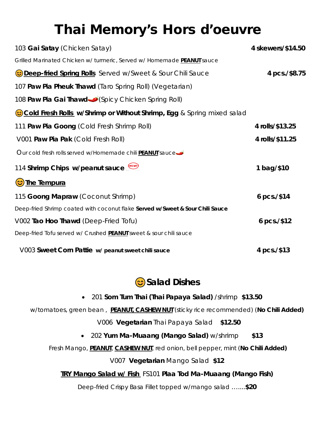# Thai Memory's Hors d'oeuvre

| 103 Gai Satay (Chicken Satay)                                                 | 4 skewers/\$14.50 |
|-------------------------------------------------------------------------------|-------------------|
| Grilled Marinated Chicken w/ turmeric, Served w/ Homemade PEANUT sauce        |                   |
| <b>Deep-fried Spring Rolls</b> Served w/Sweet & Sour Chili Sauce              | 4 pcs./\$8.75     |
| 107 Paw Pia Pheuk Thawd (Taro Spring Roll) (Vegetarian)                       |                   |
| 108 Paw Pia Gai Thawd (Spicy Chicken Spring Roll)                             |                   |
| Cold Fresh Rolls w/Shrimp or Without Shrimp, Egg & Spring mixed salad         |                   |
| 111 Paw Pia Goong (Cold Fresh Shrimp Roll)                                    | 4 rolls/\$13.25   |
| V001 Paw Pia Pak (Cold Fresh Roll)                                            | 4 rolls/\$11.25   |
| Our cold fresh rolls served w/Homemade chili <b>PEANUI</b> sauce              |                   |
| 114 Shrimp Chips w/peanut sauce                                               | 1 bag/\$10        |
| Cole Tempura                                                                  |                   |
| 115 Goong Mapraw (Coconut Shrimp)                                             | 6 pcs./\$14       |
| Deep-fried Shrimp coated with coconut flake Served w/Sweet & Sour Chili Sauce |                   |
| V002 Tao Hoo Thawd (Deep-Fried Tofu)                                          | 6 pcs./\$12       |
| Deep-fried Tofu served w/ Crushed PEANUI sweet & sour chili sauce             |                   |
| V003 Sweet Corn Pattie w/ peanut sweet chili sauce                            | 4 pcs./\$13       |

## ����**Salad Dishes**

- 201 **Som Tum Thai (Thai Papaya Salad)** /shrimp **\$13.50**
- w/tomatoes, green bean , **PEANUT, CASHEW NUT** (sticky rice recommended) (**No Chili Added)**

V006 **Vegetarian** Thai Papaya Salad **\$12.50**

• 202 **Yum Ma-Muaang (Mango Salad)** w/shrimp **\$13**

Fresh Mango, **PEANUT**, **CASHEW NUT**, red onion, bell pepper, mint (**No Chili Added)**

V007 **Vegetarian** Mango Salad **\$12**

#### **TRY Mango Salad w/ Fish** FS101 **Plaa Tod Ma-Muaang (Mango Fish)**

Deep-fried Crispy Basa Fillet topped w/mango salad …....**\$20**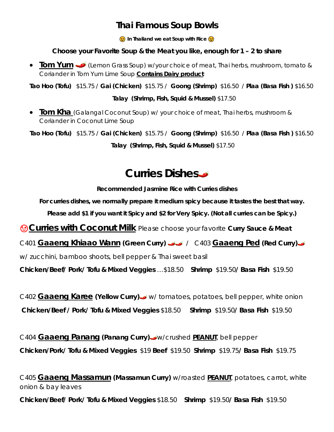## **Thai Famous Soup Bowls**

 $\odot$  In Thailand we eat Soup with Rice  $\odot$ 

#### **Choose your Favorite Soup & the Meat you like, enough for 1 – 2 to share**

**Tom Yum** (Lemon Grass Soup) w/your choice of meat, Thai herbs, mushroom, tomato & Coriander in Tom Yum Lime Soup **Contains Dairy product**

**Tao Hoo (Tofu)** \$15.75 / **Gai (Chicken)** \$15.75 / **Goong (Shrimp)** \$16.50 / **Plaa (Basa Fish )** \$16.50

**Talay (Shrimp, Fish, Squid & Mussel)** \$17.50

• **Tom Kha** (Galangal Coconut Soup) w/ your choice of meat, Thai herbs, mushroom & Coriander in Coconut Lime Soup

**Tao Hoo (Tofu)** \$15.75 / **Gai (Chicken)** \$15.75 / **Goong (Shrimp)** \$16.50 / **Plaa (Basa Fish )** \$16.50

**Talay (Shrimp, Fish, Squid & Mussel)** \$17.50

# **Curries Dishes**

**Recommended Jasmine Rice with Curries dishes**

**For curries dishes, we normally prepare it medium spicy because it tastes the best that way.**

**Please add \$1 if you want it Spicy and \$2 for Very Spicy. (Not all curries can be Spicy.)**

**Curries with Coconut Milk** Please choose your favorite **Curry Sauce & Meat** 

C401 **Gaaeng Khiaao Wann (Green Curry)** / C403 **Gaaeng Ped (Red Curry)**

w/ zucchini, bamboo shoots, bell pepper & Thai sweet basil

**Chicken/Beef/ Pork/ Tofu & Mixed Veggies** …\$18.50 **Shrimp** \$19.50**/ Basa Fish** \$19.50

C402 **Gaaeng Karee (Yellow Curry)** w/ tomatoes, potatoes, bell pepper, white onion **Chicken/Beef / Pork/ Tofu & Mixed Veggies** \$18.50 **Shrimp** \$19.50**/ Basa Fish** \$19.50

C404 **Gaaeng Panang (Panang Curry)** w/crushed **PEANUT**, bell pepper **Chicken/Pork/ Tofu & Mixed Veggies** \$19 **Beef** \$19.50 **Shrimp** \$19.75**/ Basa Fish** \$19.75

C405 **Gaaeng Massamun (Massamun Curry)** w/roasted **PEANUT**, potatoes, carrot, white onion & bay leaves

**Chicken/Beef/ Pork/ Tofu & Mixed Veggies** \$18.50 **Shrimp** \$19.50**/ Basa Fish** \$19.50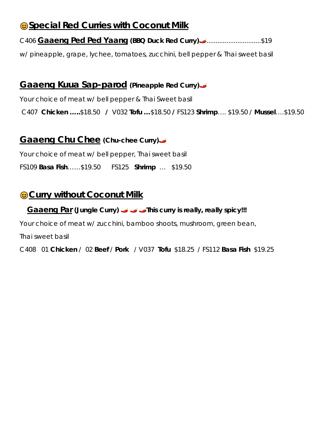## ����**Special Red Curries with Coconut Milk**

#### C406 **Gaaeng Ped Ped Yaang (BBQ Duck Red Curry)** ..............................\$19

w/ pineapple, grape, lychee, tomatoes, zucchini, bell pepper & Thai sweet basil

### **Gaaeng Kuua Sap-parod (Pineapple Red Curry)**

Your choice of meat w/ bell pepper & Thai Sweet basil

C407 **Chicken …..**\$18.50 **/** V032 **Tofu …**\$18.50 **/** FS123 **Shrimp**…. \$19.50 / **Mussel**….\$19.50

### **Gaaeng Chu Chee (Chu-chee Curry)**

Your choice of meat w/ bell pepper, Thai sweet basil

FS109 **Basa Fish**……\$19.50FS125 **Shrimp** … \$19.50

## ����**Curry without Coconut Milk**

#### **Gaaeng Par (Jungle Curry) This curry is really, really spicy!!!**

Your choice of meat w/ zucchini, bamboo shoots, mushroom, green bean,

Thai sweet basil

C408 01 **Chicken** / 02 **Beef** / **Pork** / V037 **Tofu** \$18.25 / FS112 **Basa Fish** \$19.25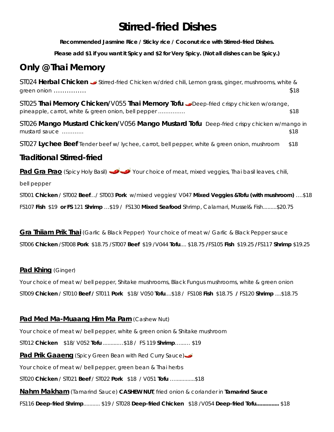# **Stirred-fried Dishes**

**Recommended Jasmine Rice / Sticky rice / Coconut rice with Stirred-fried Dishes.** 

**Please add \$1 if you want it Spicy and \$2 for Very Spicy. (Not all dishes can be Spicy.)**

## **Only @ Thai Memory**

ST024 **Herbal Chicken** Stirred-fried Chicken w/dried chili, Lemon grass, ginger, mushrooms, white & green onion …………… \$18

ST025 **Thai Memory Chicken/**V055 **Thai Memory Tofu** Deep-fried crispy chicken w/orange, pineapple, carrot, white & green onion, bell pepper …………… \$18

ST026 **Mango Mustard Chicken/**V056 **Mango Mustard Tofu** Deep-fried crispy chicken w/mango in mustard sauce ………… \$18

ST027 **Lychee Beef** Tender beef w/ lychee, carrot, bell pepper, white & green onion, mushroom \$18

#### **Traditional Stirred-fried**

Pad Gra Prao (Spicy Holy Basil) Your choice of meat, mixed veggies, Thai basil leaves, chili,

bell pepper

ST001 **Chicken** / ST002 **Beef**…/ ST003 **Pork** w/mixed veggies/ V047 **Mixed Veggies &Tofu (with mushroom)** ….\$18 FS107 **Fish** \$19 **or FS** 121 **Shrimp** …\$19 / FS130 **Mixed Seafood** Shrimp, Calamari, Mussel& Fish.........\$20.75

**Gra Thiiam Prik Thai** (Garlic & Black Pepper) Your choice of meat w/ Garlic & Black Pepper sauce

ST006 **Chicken** /ST008 **Pork** \$18.75 /ST007 **Beef** \$19 /V044 **Tofu**.... \$18.75 **/**FS105 **Fish** \$19.25 **/**FS117 **Shrimp** \$19.25

#### **Pad Khing** (Ginger)

Your choice of meat w/ bell pepper, Shitake mushrooms, Black Fungus mushrooms, white & green onion ST009 **Chicken** / ST010 **Beef /** ST011 **Pork** \$18/ V050 **Tofu**....\$18 / FS108 **Fish** \$18.75 **/** FS120 **Shrimp** ....\$18.75

#### **Pad Med Ma-Muaang Him Ma Parn** (Cashew Nut)

Your choice of meat w/ bell pepper, white & green onion & Shitake mushroom

ST012 **Chicken** \$18/ V052 **Tofu** ..........…\$18 / FS 119 **Shrimp**…...… \$19

**Pad Prik Gaaeng** (Spicy Green Bean with Red Curry Sauce)

Your choice of meat w/ bell pepper, green bean & Thai herbs

ST020 **Chicken** / ST021 **Beef** / ST022 **Pork** \$18 / V051 **Tofu** ….............\$18

**Nahm Makham** (Tamarind Sauce) **CASHEW NUT**, fried onion & coriander in **Tamarind Sauce** 

FS116 **Deep-fried Shrimp**........... \$19 / ST028 **Deep-fried Chicken** \$18 /V054 **Deep-fried Tofu...............** \$18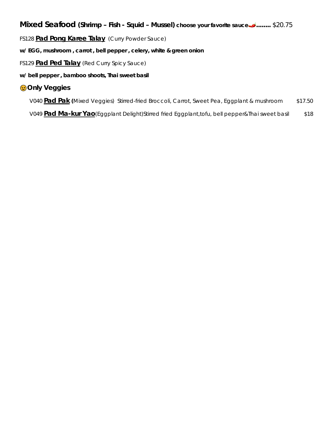## **Mixed Seafood (Shrimp – Fish - Squid – Mussel) choose your favorite sauce ........** \$20.75

FS128 **Pad Pong Karee Talay** (Curry Powder Sauce)

**w/ EGG, mushroom , carrot , bell pepper , celery, white & green onion**

FS129 **Pad Ped Talay** (Red Curry Spicy Sauce)

**w/ bell pepper , bamboo shoots, Thai sweet basil** 

#### ����**Only Veggies**

V040 **Pad Pak (**Mixed Veggies) Stirred-fried Broccoli, Carrot, Sweet Pea, Eggplant & mushroom \$17.50

V049 **Pad Ma-kur Yao**(Eggplant Delight)Stirred fried Eggplant,tofu, bell pepper&Thai sweet basil \$18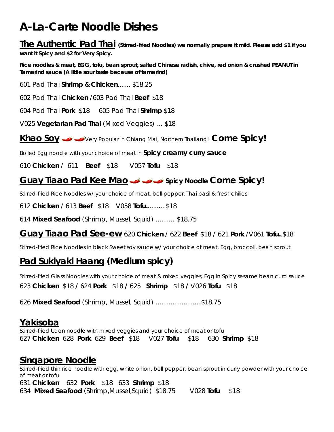# **A-La-Carte Noodle Dishes**

**The Authentic Pad Thai (Stirred-fried Noodles) we normally prepare it mild. Please add \$1 if you want it Spicy and \$2 for Very Spicy.**

**Rice noodles & meat, EGG, tofu, bean sprout, salted Chinese radish, chive, red onion & crushed PEANUT in Tamarind sauce (A little sour taste because of tamarind)**

601 Pad Thai **Shrimp & Chicken**....... \$18.25

602 Pad Thai **Chicken** /603 Pad Thai **Beef** \$18

604 Pad Thai **Pork** \$18 605 Pad Thai **Shrimp** \$18

V025 **Vegetarian Pad Thai** (Mixed Veggies) … \$18

**Khao Soy** Very Popular in Chiang Mai, Northern Thailand! **Come Spicy!** 

Boiled Egg noodle with your choice of meat in **Spicy creamy curry sauce**

610 **Chicken** / 611 **Beef** \$18 V057 **Tofu** \$18

## **Guay Tiaao Pad Kee Mao Spicy Noodle Come Spicy!**

Stirred-fried Rice Noodles w/ your choice of meat, bell pepper, Thai basil & fresh chilies

612 **Chicken** / 613 **Beef** \$18 V058 **Tofu.**..........\$18

614 **Mixed Seafood** (Shrimp, Mussel, Squid) ……… \$18.75

#### **Guay Tiaao Pad See-ew** 620 **Chicken** / 622 **Beef** \$18 / 621 **Pork** /V061 **Tofu.**.\$18

Stirred-fried Rice Noodles in black Sweet soy sauce w/ your choice of meat, Egg, broccoli, bean sprout

## **Pad Sukiyaki Haang (Medium spicy)**

Stirred-fried Glass Noodles with your choice of meat & mixed veggies, Egg in Spicy sesame bean curd sauce 623 **Chicken** \$18 **/** 624 **Pork** \$18 **/** 625 **Shrimp** \$18 **/** V026 **Tofu** \$18

626 **Mixed Seafood** (Shrimp, Mussel, Squid) …………………\$18.75

## **Yakisoba**

Stirred-fried Udon noodle with mixed veggies and your choice of meat or tofu 627 **Chicken** 628 **Pork** 629 **Beef** \$18 V027 **Tofu** \$18 630 **Shrimp** \$18

### **Singapore Noodle**

Stirred-fried thin rice noodle with egg, white onion, bell pepper, bean sprout in curry powder with your choice of meat or tofu 631 **Chicken** 632 **Pork** \$18633 **Shrimp** \$18 634 **Mixed Seafood** (Shrimp,Mussel,Squid)\$18.75 V028 **Tofu** \$18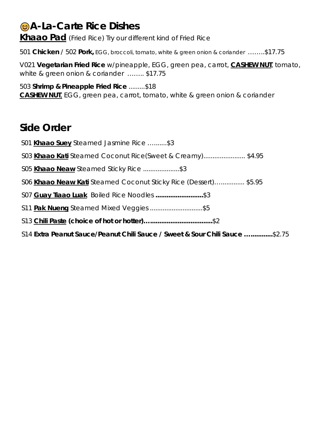# ����**A-La-Carte Rice Dishes**

**Khaao Pad** (Fried Rice) Try our different kind of Fried Rice

501 **Chicken** / 502 **Pork,** EGG, broccoli, tomato, white & green onion & coriander ……..\$17.75

V021 **Vegetarian Fried Rice** w/pineapple, EGG, green pea, carrot, **CASHEW NUT**, tomato, white & green onion & coriander ........ \$17.75

503 **Shrimp & Pineapple Fried Rice** .........\$18 **CASHEW NUT**, EGG, green pea, carrot, tomato, white & green onion & coriander

## **Side Order**

S01 **Khaao Suey** Steamed Jasmine Rice ….......\$3 S03 **Khaao Kati** Steamed Coconut Rice(Sweet & Creamy)....................... \$4.95 S05 **Khaao Neaw** Steamed Sticky Rice ....................\$3 S06 **Khaao Neaw Kati** Steamed Coconut Sticky Rice (Dessert)…............. \$5.95 S07 **Guay Tiaao Luak** Boiled Rice Noodles **..........................**\$3 S11 **Pak Nueng** Steamed Mixed Veggies .............................\$5 S13 **Chili Paste (choice of hot or hotter)…..................................**\$2 S14 **Extra Peanut Sauce/Peanut Chili Sauce / Sweet & Sour Chili Sauce …............**\$2.75